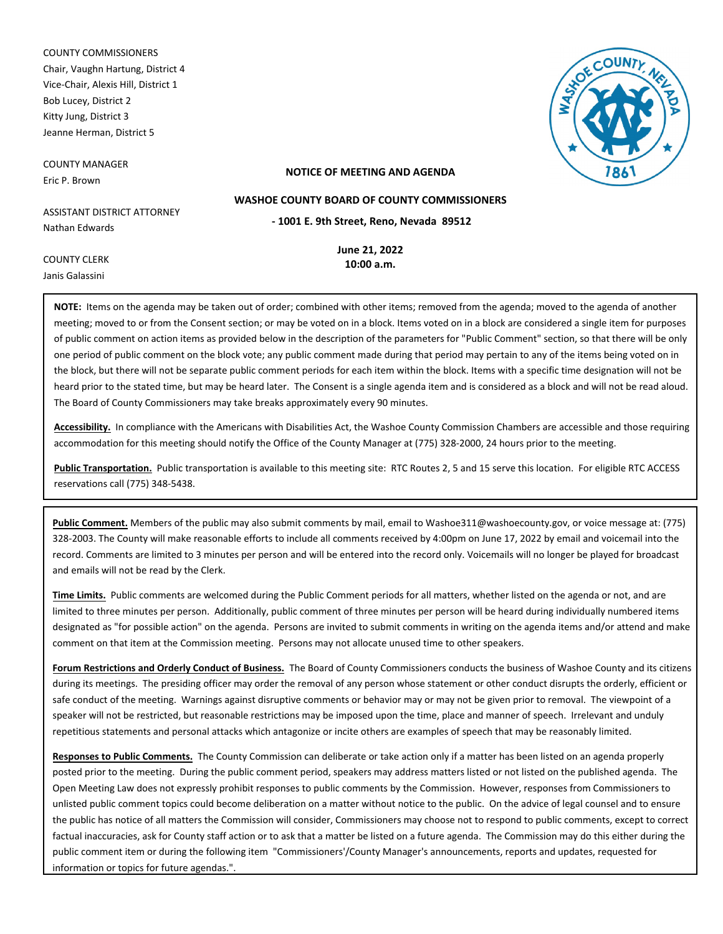COUNTY COMMISSIONERS Chair, Vaughn Hartung, District 4 Vice-Chair, Alexis Hill, District 1 Bob Lucey, District 2 Kitty Jung, District 3 Jeanne Herman, District 5

COUNTY MANAGER Eric P. Brown

COUNTY CLERK



# **NOTICE OF MEETING AND AGENDA**

ASSISTANT DISTRICT ATTORNEY Nathan Edwards

**- 1001 E. 9th Street, Reno, Nevada 89512**

**WASHOE COUNTY BOARD OF COUNTY COMMISSIONERS**

**June 21, 2022 10:00 a.m.**

Janis Galassini **NOTE:** Items on the agenda may be taken out of order; combined with other items; removed from the agenda; moved to the agenda of another meeting; moved to or from the Consent section; or may be voted on in a block. Items voted on in a block are considered a single item for purposes of public comment on action items as provided below in the description of the parameters for "Public Comment" section, so that there will be only one period of public comment on the block vote; any public comment made during that period may pertain to any of the items being voted on in the block, but there will not be separate public comment periods for each item within the block. Items with a specific time designation will not be heard prior to the stated time, but may be heard later. The Consent is a single agenda item and is considered as a block and will not be read aloud. The Board of County Commissioners may take breaks approximately every 90 minutes.

**Accessibility.** In compliance with the Americans with Disabilities Act, the Washoe County Commission Chambers are accessible and those requiring accommodation for this meeting should notify the Office of the County Manager at (775) 328-2000, 24 hours prior to the meeting.

**Public Transportation.** Public transportation is available to this meeting site: RTC Routes 2, 5 and 15 serve this location. For eligible RTC ACCESS reservations call (775) 348-5438.

**Public Comment.** Members of the public may also submit comments by mail, email to Washoe311@washoecounty.gov, or voice message at: (775) 328-2003. The County will make reasonable efforts to include all comments received by 4:00pm on June 17, 2022 by email and voicemail into the record. Comments are limited to 3 minutes per person and will be entered into the record only. Voicemails will no longer be played for broadcast and emails will not be read by the Clerk.

**Time Limits.** Public comments are welcomed during the Public Comment periods for all matters, whether listed on the agenda or not, and are limited to three minutes per person. Additionally, public comment of three minutes per person will be heard during individually numbered items designated as "for possible action" on the agenda. Persons are invited to submit comments in writing on the agenda items and/or attend and make comment on that item at the Commission meeting. Persons may not allocate unused time to other speakers.

**Forum Restrictions and Orderly Conduct of Business.** The Board of County Commissioners conducts the business of Washoe County and its citizens during its meetings. The presiding officer may order the removal of any person whose statement or other conduct disrupts the orderly, efficient or safe conduct of the meeting. Warnings against disruptive comments or behavior may or may not be given prior to removal. The viewpoint of a speaker will not be restricted, but reasonable restrictions may be imposed upon the time, place and manner of speech. Irrelevant and unduly repetitious statements and personal attacks which antagonize or incite others are examples of speech that may be reasonably limited.

**Responses to Public Comments.** The County Commission can deliberate or take action only if a matter has been listed on an agenda properly posted prior to the meeting. During the public comment period, speakers may address matters listed or not listed on the published agenda. The Open Meeting Law does not expressly prohibit responses to public comments by the Commission. However, responses from Commissioners to unlisted public comment topics could become deliberation on a matter without notice to the public. On the advice of legal counsel and to ensure the public has notice of all matters the Commission will consider, Commissioners may choose not to respond to public comments, except to correct factual inaccuracies, ask for County staff action or to ask that a matter be listed on a future agenda. The Commission may do this either during the public comment item or during the following item "Commissioners'/County Manager's announcements, reports and updates, requested for information or topics for future agendas.".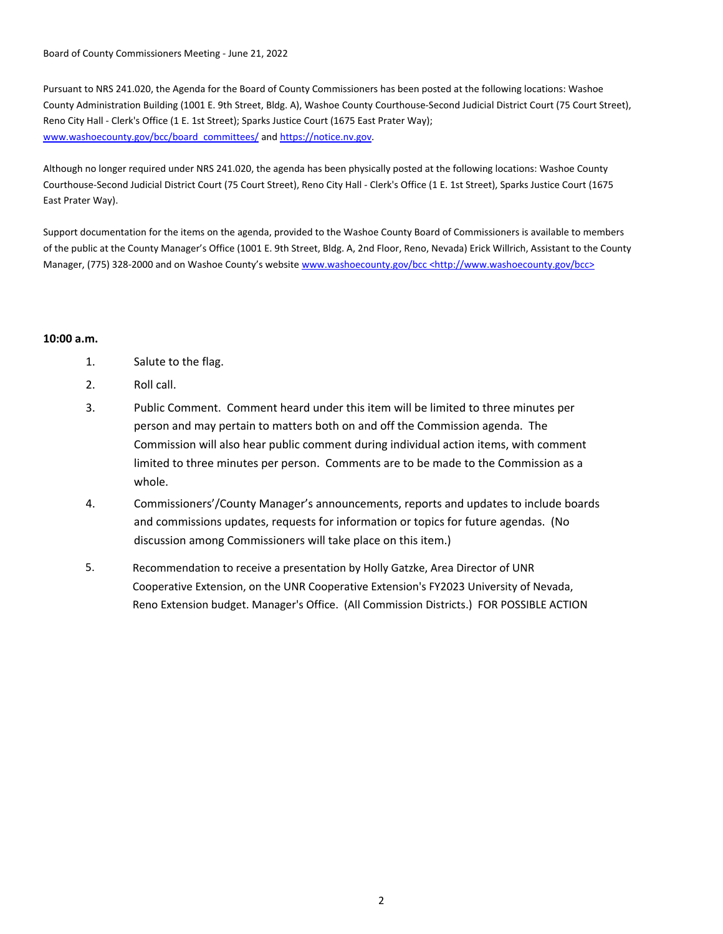Board of County Commissioners Meeting - June 21, 2022

Pursuant to NRS 241.020, the Agenda for the Board of County Commissioners has been posted at the following locations: Washoe County Administration Building (1001 E. 9th Street, Bldg. A), Washoe County Courthouse-Second Judicial District Court (75 Court Street), Reno City Hall - Clerk's Office (1 E. 1st Street); Sparks Justice Court (1675 East Prater Way); www.washoecounty.gov/bcc/board\_committees/ and https://notice.nv.gov.

Although no longer required under NRS 241.020, the agenda has been physically posted at the following locations: Washoe County Courthouse-Second Judicial District Court (75 Court Street), Reno City Hall - Clerk's Office (1 E. 1st Street), Sparks Justice Court (1675 East Prater Way).

Support documentation for the items on the agenda, provided to the Washoe County Board of Commissioners is available to members of the public at the County Manager's Office (1001 E. 9th Street, Bldg. A, 2nd Floor, Reno, Nevada) Erick Willrich, Assistant to the County Manager, (775) 328-2000 and on Washoe County's website www.washoecounty.gov/bcc <http://www.washoecounty.gov/bcc>

# **10:00 a.m.**

- 1. Salute to the flag.
- 2. Roll call.
- 3. Public Comment. Comment heard under this item will be limited to three minutes per person and may pertain to matters both on and off the Commission agenda. The Commission will also hear public comment during individual action items, with comment limited to three minutes per person. Comments are to be made to the Commission as a whole.
- 4. Commissioners'/County Manager's announcements, reports and updates to include boards and commissions updates, requests for information or topics for future agendas. (No discussion among Commissioners will take place on this item.)
- Recommendation to receive a presentation by Holly Gatzke, Area Director of UNR Cooperative Extension, on the UNR Cooperative Extension's FY2023 University of Nevada, Reno Extension budget. Manager's Office. (All Commission Districts.) FOR POSSIBLE ACTION 5.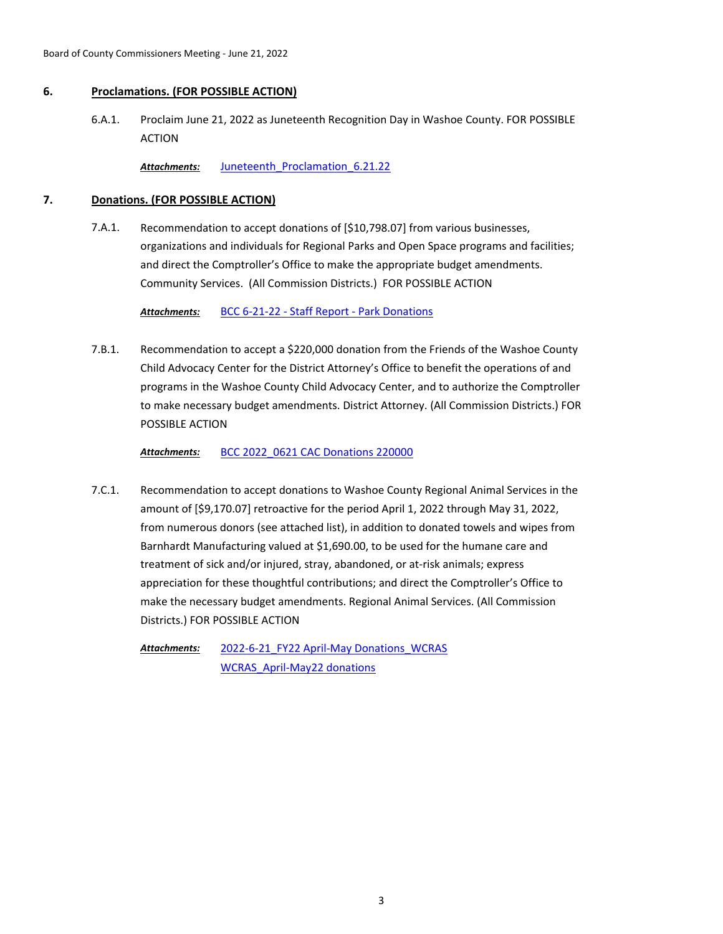# **6. Proclamations. (FOR POSSIBLE ACTION)**

Proclaim June 21, 2022 as Juneteenth Recognition Day in Washoe County. FOR POSSIBLE ACTION 6.A.1.

Attachments: Juneteenth Proclamation 6.21.22

# **7. Donations. (FOR POSSIBLE ACTION)**

Recommendation to accept donations of [\$10,798.07] from various businesses, organizations and individuals for Regional Parks and Open Space programs and facilities; and direct the Comptroller's Office to make the appropriate budget amendments. Community Services. (All Commission Districts.) FOR POSSIBLE ACTION 7.A.1.

*Attachments:* [BCC 6-21-22 - Staff Report - Park Donations](http://washoe-nv.legistar.com/gateway.aspx?M=F&ID=e069ec57-8f2b-4f5d-9e9b-fa0c0f39185d.doc)

Recommendation to accept a \$220,000 donation from the Friends of the Washoe County Child Advocacy Center for the District Attorney's Office to benefit the operations of and programs in the Washoe County Child Advocacy Center, and to authorize the Comptroller to make necessary budget amendments. District Attorney. (All Commission Districts.) FOR POSSIBLE ACTION 7.B.1.

*Attachments:* [BCC 2022\\_0621 CAC Donations 220000](http://washoe-nv.legistar.com/gateway.aspx?M=F&ID=7f249918-0630-4f9a-8b90-ea50a5fc2708.docx)

Recommendation to accept donations to Washoe County Regional Animal Services in the amount of [\$9,170.07] retroactive for the period April 1, 2022 through May 31, 2022, from numerous donors (see attached list), in addition to donated towels and wipes from Barnhardt Manufacturing valued at \$1,690.00, to be used for the humane care and treatment of sick and/or injured, stray, abandoned, or at-risk animals; express appreciation for these thoughtful contributions; and direct the Comptroller's Office to make the necessary budget amendments. Regional Animal Services. (All Commission Districts.) FOR POSSIBLE ACTION 7.C.1.

[2022-6-21\\_FY22 April-May Donations\\_WCRAS](http://washoe-nv.legistar.com/gateway.aspx?M=F&ID=b67c2036-47fc-450c-9bc0-f492bc731ae2.docx) [WCRAS\\_April-May22 donations](http://washoe-nv.legistar.com/gateway.aspx?M=F&ID=9f5c0960-d0ce-43b7-b19c-a3ce8455124a.pdf) *Attachments:*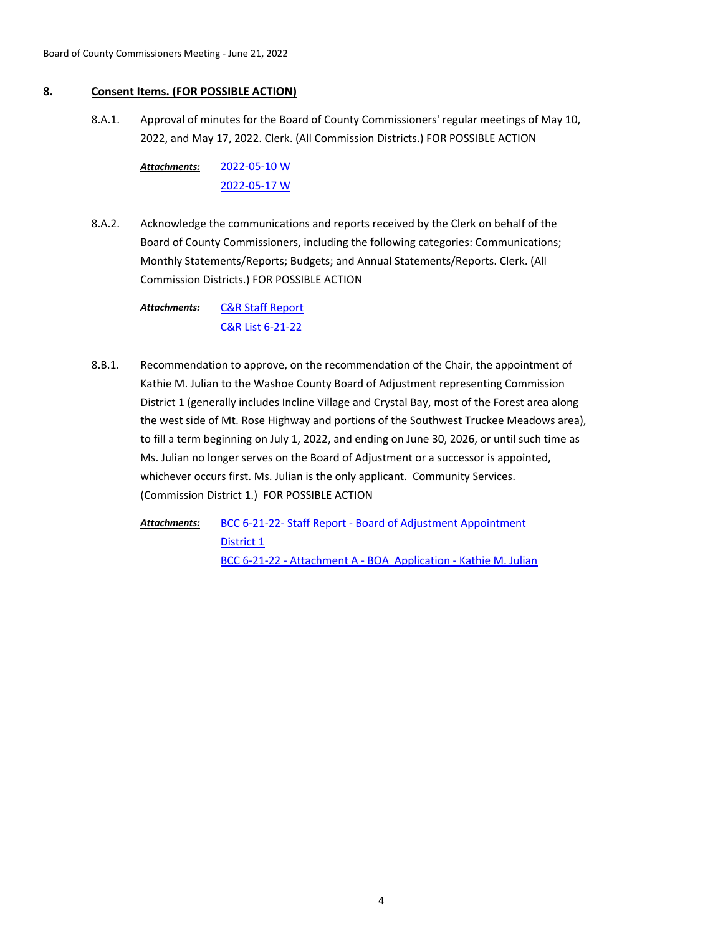# **8. Consent Items. (FOR POSSIBLE ACTION)**

Approval of minutes for the Board of County Commissioners' regular meetings of May 10, 2022, and May 17, 2022. Clerk. (All Commission Districts.) FOR POSSIBLE ACTION 8.A.1.

[2022-05-10 W](http://washoe-nv.legistar.com/gateway.aspx?M=F&ID=88f0c81f-e9ac-4d5f-842d-6eda2b7bde78.pdf) [2022-05-17 W](http://washoe-nv.legistar.com/gateway.aspx?M=F&ID=9515bc9c-1e38-4112-8ab0-8a69b65cf89a.pdf) *Attachments:*

Acknowledge the communications and reports received by the Clerk on behalf of the Board of County Commissioners, including the following categories: Communications; Monthly Statements/Reports; Budgets; and Annual Statements/Reports. Clerk. (All Commission Districts.) FOR POSSIBLE ACTION 8.A.2.

> [C&R Staff Report](http://washoe-nv.legistar.com/gateway.aspx?M=F&ID=e5b86606-ee33-4c5e-8aa1-3c9f7a575b66.pdf) [C&R List 6-21-22](http://washoe-nv.legistar.com/gateway.aspx?M=F&ID=871f461a-d46b-42df-9887-8b5ce78bae80.pdf) *Attachments:*

Recommendation to approve, on the recommendation of the Chair, the appointment of Kathie M. Julian to the Washoe County Board of Adjustment representing Commission District 1 (generally includes Incline Village and Crystal Bay, most of the Forest area along the west side of Mt. Rose Highway and portions of the Southwest Truckee Meadows area), to fill a term beginning on July 1, 2022, and ending on June 30, 2026, or until such time as Ms. Julian no longer serves on the Board of Adjustment or a successor is appointed, whichever occurs first. Ms. Julian is the only applicant. Community Services. (Commission District 1.) FOR POSSIBLE ACTION 8.B.1.

[BCC 6-21-22- Staff Report - Board of Adjustment Appointment](http://washoe-nv.legistar.com/gateway.aspx?M=F&ID=febb7f6e-c9a7-43fd-8981-3a07eca8e0d4.doc)  District 1 [BCC 6-21-22 - Attachment A - BOA Application - Kathie M. Julian](http://washoe-nv.legistar.com/gateway.aspx?M=F&ID=cfb73aa9-216d-436b-96bd-6eeb22f32c87.pdf) *Attachments:*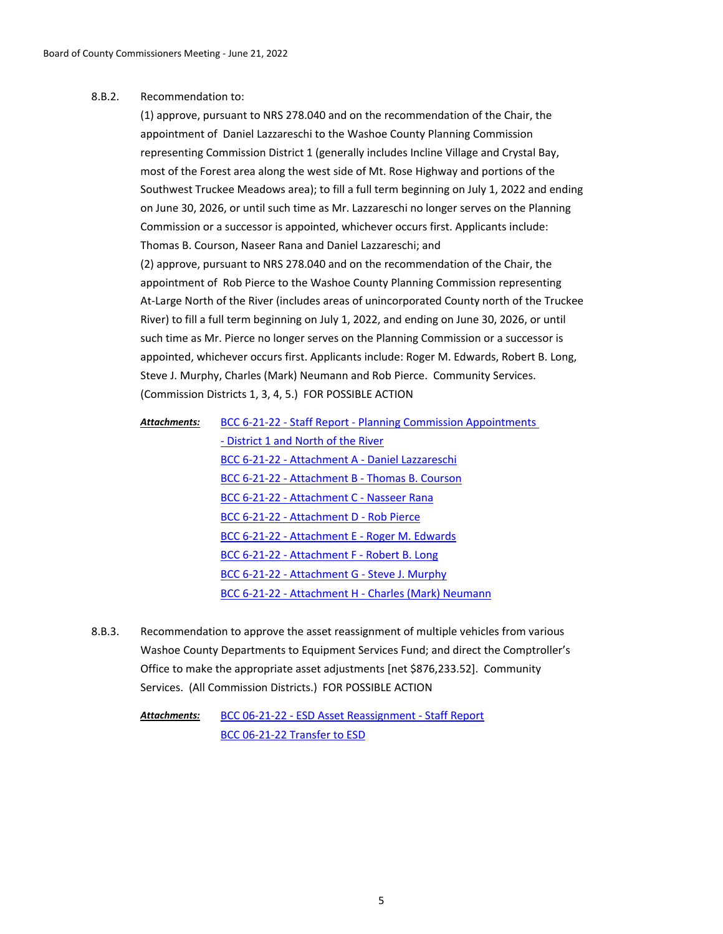#### Recommendation to: 8.B.2.

(1) approve, pursuant to NRS 278.040 and on the recommendation of the Chair, the appointment of Daniel Lazzareschi to the Washoe County Planning Commission representing Commission District 1 (generally includes Incline Village and Crystal Bay, most of the Forest area along the west side of Mt. Rose Highway and portions of the Southwest Truckee Meadows area); to fill a full term beginning on July 1, 2022 and ending on June 30, 2026, or until such time as Mr. Lazzareschi no longer serves on the Planning Commission or a successor is appointed, whichever occurs first. Applicants include: Thomas B. Courson, Naseer Rana and Daniel Lazzareschi; and (2) approve, pursuant to NRS 278.040 and on the recommendation of the Chair, the appointment of Rob Pierce to the Washoe County Planning Commission representing At-Large North of the River (includes areas of unincorporated County north of the Truckee River) to fill a full term beginning on July 1, 2022, and ending on June 30, 2026, or until such time as Mr. Pierce no longer serves on the Planning Commission or a successor is appointed, whichever occurs first. Applicants include: Roger M. Edwards, Robert B. Long, Steve J. Murphy, Charles (Mark) Neumann and Rob Pierce. Community Services. (Commission Districts 1, 3, 4, 5.) FOR POSSIBLE ACTION

| Attachments: | BCC 6-21-22 - Staff Report - Planning Commission Appointments |
|--------------|---------------------------------------------------------------|
|              | - District 1 and North of the River                           |
|              | BCC 6-21-22 - Attachment A - Daniel Lazzareschi               |
|              | BCC 6-21-22 - Attachment B - Thomas B. Courson                |
|              | BCC 6-21-22 - Attachment C - Nasseer Rana                     |
|              | BCC 6-21-22 - Attachment D - Rob Pierce                       |
|              | BCC 6-21-22 - Attachment E - Roger M. Edwards                 |
|              | BCC 6-21-22 - Attachment F - Robert B. Long                   |
|              | BCC 6-21-22 - Attachment G - Steve J. Murphy                  |
|              | BCC 6-21-22 - Attachment H - Charles (Mark) Neumann           |

Recommendation to approve the asset reassignment of multiple vehicles from various Washoe County Departments to Equipment Services Fund; and direct the Comptroller's Office to make the appropriate asset adjustments [net \$876,233.52]. Community Services. (All Commission Districts.) FOR POSSIBLE ACTION 8.B.3.

> [BCC 06-21-22 - ESD Asset Reassignment - Staff Report](http://washoe-nv.legistar.com/gateway.aspx?M=F&ID=59ad08d1-9347-450f-8d75-77f67c99ebd3.doc) [BCC 06-21-22 Transfer to ESD](http://washoe-nv.legistar.com/gateway.aspx?M=F&ID=d343d247-1287-4729-b9f5-5a1ebb878a2b.xlsx) *Attachments:*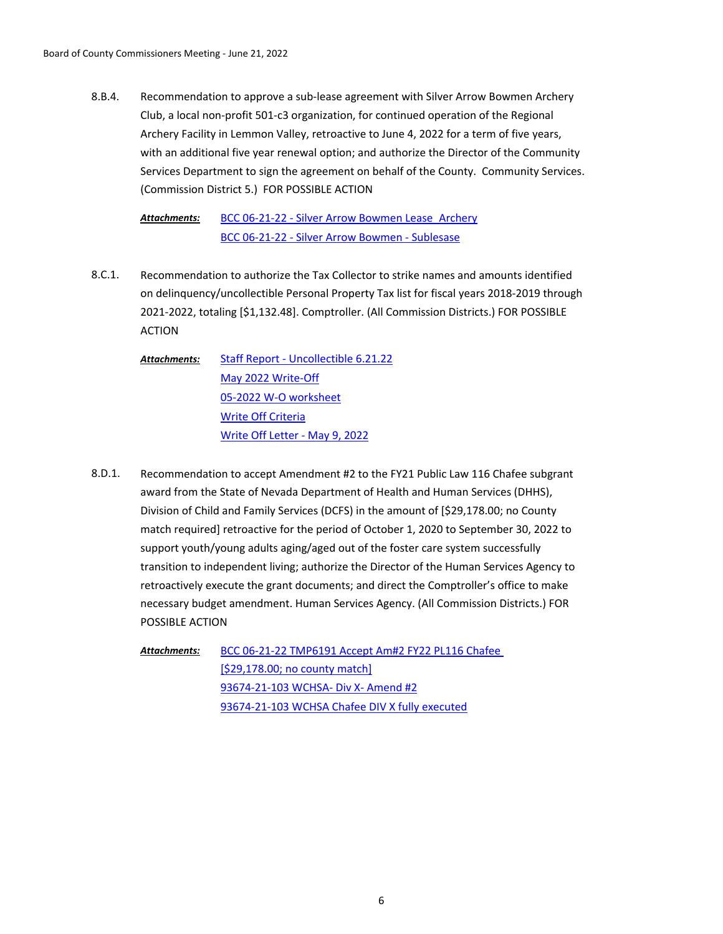Recommendation to approve a sub-lease agreement with Silver Arrow Bowmen Archery Club, a local non-profit 501-c3 organization, for continued operation of the Regional Archery Facility in Lemmon Valley, retroactive to June 4, 2022 for a term of five years, with an additional five year renewal option; and authorize the Director of the Community Services Department to sign the agreement on behalf of the County. Community Services. (Commission District 5.) FOR POSSIBLE ACTION 8.B.4.

[BCC 06-21-22 - Silver Arrow Bowmen Lease\\_Archery](http://washoe-nv.legistar.com/gateway.aspx?M=F&ID=880a10be-fdf8-46fb-9446-8807c336c67a.doc) [BCC 06-21-22 - Silver Arrow Bowmen - Sublesase](http://washoe-nv.legistar.com/gateway.aspx?M=F&ID=aa4bbe17-738f-449d-a829-8c90fc5d419d.docx) *Attachments:*

- Recommendation to authorize the Tax Collector to strike names and amounts identified on delinquency/uncollectible Personal Property Tax list for fiscal years 2018-2019 through 2021-2022, totaling [\$1,132.48]. Comptroller. (All Commission Districts.) FOR POSSIBLE ACTION 8.C.1.
	- [Staff Report Uncollectible 6.21.22](http://washoe-nv.legistar.com/gateway.aspx?M=F&ID=aba3e8ab-0aad-48da-af92-b1e665edcb74.doc) [May 2022 Write-Off](http://washoe-nv.legistar.com/gateway.aspx?M=F&ID=453c6b4c-1e9c-4dd0-a9b1-4fa7f5e25def.pdf) [05-2022 W-O worksheet](http://washoe-nv.legistar.com/gateway.aspx?M=F&ID=4f074bd6-1fb1-44ff-99fb-6e0d7a4c4cab.xlsx) [Write Off Criteria](http://washoe-nv.legistar.com/gateway.aspx?M=F&ID=cd2ebe56-b8b6-4e35-8391-55b71cdf57f8.docx) [Write Off Letter - May 9, 2022](http://washoe-nv.legistar.com/gateway.aspx?M=F&ID=d15b3990-5206-403a-86fa-d0249608ec89.pdf) *Attachments:*
- Recommendation to accept Amendment #2 to the FY21 Public Law 116 Chafee subgrant award from the State of Nevada Department of Health and Human Services (DHHS), Division of Child and Family Services (DCFS) in the amount of [\$29,178.00; no County match required] retroactive for the period of October 1, 2020 to September 30, 2022 to support youth/young adults aging/aged out of the foster care system successfully transition to independent living; authorize the Director of the Human Services Agency to retroactively execute the grant documents; and direct the Comptroller's office to make necessary budget amendment. Human Services Agency. (All Commission Districts.) FOR POSSIBLE ACTION 8.D.1.

[BCC 06-21-22 TMP6191 Accept Am#2 FY22 PL116 Chafee](http://washoe-nv.legistar.com/gateway.aspx?M=F&ID=71be1cb6-a6bf-4aea-b738-0728a26b69ec.doc)  [\$29,178.00; no county match] [93674-21-103 WCHSA- Div X- Amend #2](http://washoe-nv.legistar.com/gateway.aspx?M=F&ID=0aa33de9-ce37-4b97-8efa-3a4d11e91d00.pdf) [93674-21-103 WCHSA Chafee DIV X fully executed](http://washoe-nv.legistar.com/gateway.aspx?M=F&ID=1a23d3a8-35db-48d8-b595-7517abcd1d32.pdf) *Attachments:*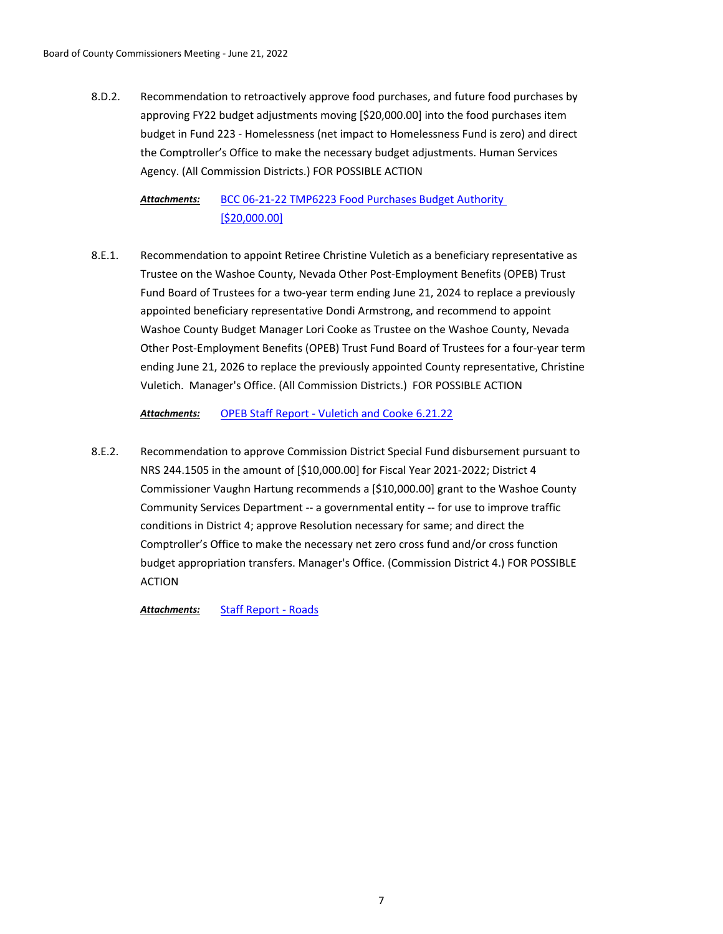Recommendation to retroactively approve food purchases, and future food purchases by approving FY22 budget adjustments moving [\$20,000.00] into the food purchases item budget in Fund 223 - Homelessness (net impact to Homelessness Fund is zero) and direct the Comptroller's Office to make the necessary budget adjustments. Human Services Agency. (All Commission Districts.) FOR POSSIBLE ACTION 8.D.2.

[BCC 06-21-22 TMP6223 Food Purchases Budget Authority](http://washoe-nv.legistar.com/gateway.aspx?M=F&ID=20e7e58e-519c-4148-9238-c9e31a2fdd82.doc)  [\$20,000.00] *Attachments:*

Recommendation to appoint Retiree Christine Vuletich as a beneficiary representative as Trustee on the Washoe County, Nevada Other Post-Employment Benefits (OPEB) Trust Fund Board of Trustees for a two-year term ending June 21, 2024 to replace a previously appointed beneficiary representative Dondi Armstrong, and recommend to appoint Washoe County Budget Manager Lori Cooke as Trustee on the Washoe County, Nevada Other Post-Employment Benefits (OPEB) Trust Fund Board of Trustees for a four-year term ending June 21, 2026 to replace the previously appointed County representative, Christine Vuletich. Manager's Office. (All Commission Districts.) FOR POSSIBLE ACTION 8.E.1.

*Attachments:* [OPEB Staff Report - Vuletich and Cooke 6.21.22](http://washoe-nv.legistar.com/gateway.aspx?M=F&ID=0ce349d7-3ec3-4c5a-b77a-27e991ab2cde.doc)

Recommendation to approve Commission District Special Fund disbursement pursuant to NRS 244.1505 in the amount of [\$10,000.00] for Fiscal Year 2021-2022; District 4 Commissioner Vaughn Hartung recommends a [\$10,000.00] grant to the Washoe County Community Services Department -- a governmental entity -- for use to improve traffic conditions in District 4; approve Resolution necessary for same; and direct the Comptroller's Office to make the necessary net zero cross fund and/or cross function budget appropriation transfers. Manager's Office. (Commission District 4.) FOR POSSIBLE ACTION 8.E.2.

*Attachments:* [Staff Report - Roads](http://washoe-nv.legistar.com/gateway.aspx?M=F&ID=aa64b7dc-4363-4091-8200-471809d147d6.docx)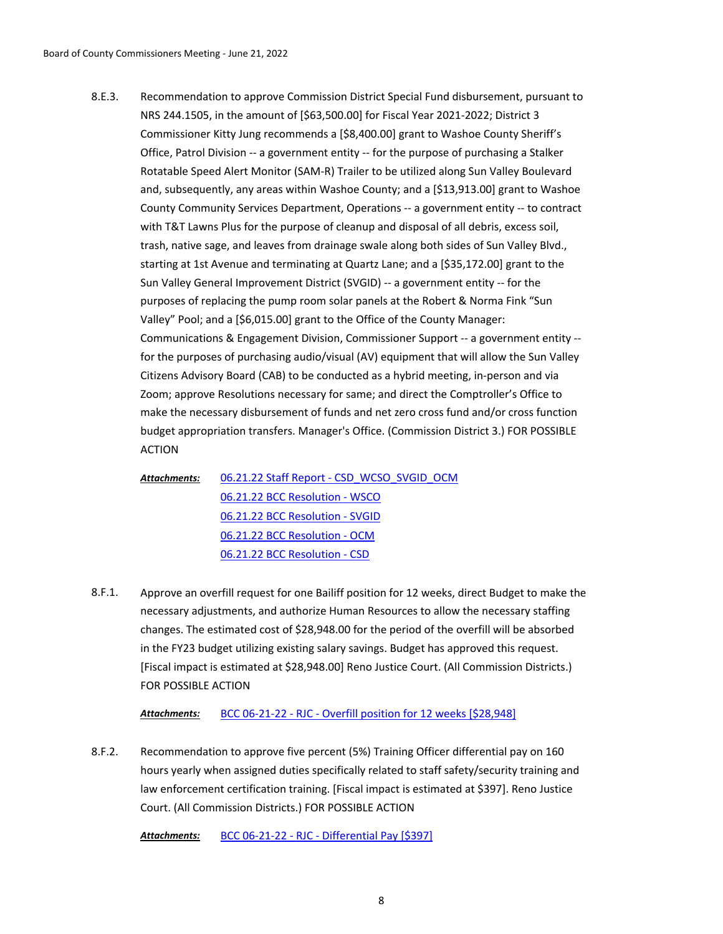Recommendation to approve Commission District Special Fund disbursement, pursuant to NRS 244.1505, in the amount of [\$63,500.00] for Fiscal Year 2021-2022; District 3 Commissioner Kitty Jung recommends a [\$8,400.00] grant to Washoe County Sheriff's Office, Patrol Division -- a government entity -- for the purpose of purchasing a Stalker Rotatable Speed Alert Monitor (SAM-R) Trailer to be utilized along Sun Valley Boulevard and, subsequently, any areas within Washoe County; and a [\$13,913.00] grant to Washoe County Community Services Department, Operations -- a government entity -- to contract with T&T Lawns Plus for the purpose of cleanup and disposal of all debris, excess soil, trash, native sage, and leaves from drainage swale along both sides of Sun Valley Blvd., starting at 1st Avenue and terminating at Quartz Lane; and a [\$35,172.00] grant to the Sun Valley General Improvement District (SVGID) -- a government entity -- for the purposes of replacing the pump room solar panels at the Robert & Norma Fink "Sun Valley" Pool; and a [\$6,015.00] grant to the Office of the County Manager: Communications & Engagement Division, Commissioner Support -- a government entity - for the purposes of purchasing audio/visual (AV) equipment that will allow the Sun Valley Citizens Advisory Board (CAB) to be conducted as a hybrid meeting, in-person and via Zoom; approve Resolutions necessary for same; and direct the Comptroller's Office to make the necessary disbursement of funds and net zero cross fund and/or cross function budget appropriation transfers. Manager's Office. (Commission District 3.) FOR POSSIBLE ACTION 8.E.3.

[06.21.22 Staff Report - CSD\\_WCSO\\_SVGID\\_OCM](http://washoe-nv.legistar.com/gateway.aspx?M=F&ID=d75c2e40-6e4b-4161-9c47-a3bc27607208.docx) [06.21.22 BCC Resolution - WSCO](http://washoe-nv.legistar.com/gateway.aspx?M=F&ID=b382326b-b5a4-4e3e-9622-edc8430aa372.docx) [06.21.22 BCC Resolution - SVGID](http://washoe-nv.legistar.com/gateway.aspx?M=F&ID=a82c942f-b7f0-4ee0-a2eb-0636366134bb.docx) [06.21.22 BCC Resolution - OCM](http://washoe-nv.legistar.com/gateway.aspx?M=F&ID=ad462956-47c7-475e-84ca-3824d82ac2b4.docx) [06.21.22 BCC Resolution - CSD](http://washoe-nv.legistar.com/gateway.aspx?M=F&ID=1c003733-8139-4440-af6f-26932eb222dc.docx) *Attachments:*

Approve an overfill request for one Bailiff position for 12 weeks, direct Budget to make the necessary adjustments, and authorize Human Resources to allow the necessary staffing changes. The estimated cost of \$28,948.00 for the period of the overfill will be absorbed in the FY23 budget utilizing existing salary savings. Budget has approved this request. [Fiscal impact is estimated at \$28,948.00] Reno Justice Court. (All Commission Districts.) FOR POSSIBLE ACTION 8.F.1.

*Attachments:* [BCC 06-21-22 - RJC - Overfill position for 12 weeks \[\\$28,948\]](http://washoe-nv.legistar.com/gateway.aspx?M=F&ID=4a852399-0d7b-4b00-b1e4-41de7f4ab463.doc)

Recommendation to approve five percent (5%) Training Officer differential pay on 160 hours yearly when assigned duties specifically related to staff safety/security training and law enforcement certification training. [Fiscal impact is estimated at \$397]. Reno Justice Court. (All Commission Districts.) FOR POSSIBLE ACTION 8.F.2.

*Attachments:* [BCC 06-21-22 - RJC - Differential Pay \[\\$397\]](http://washoe-nv.legistar.com/gateway.aspx?M=F&ID=ae4500ec-8bc0-48de-bc84-deaa9d85884f.doc)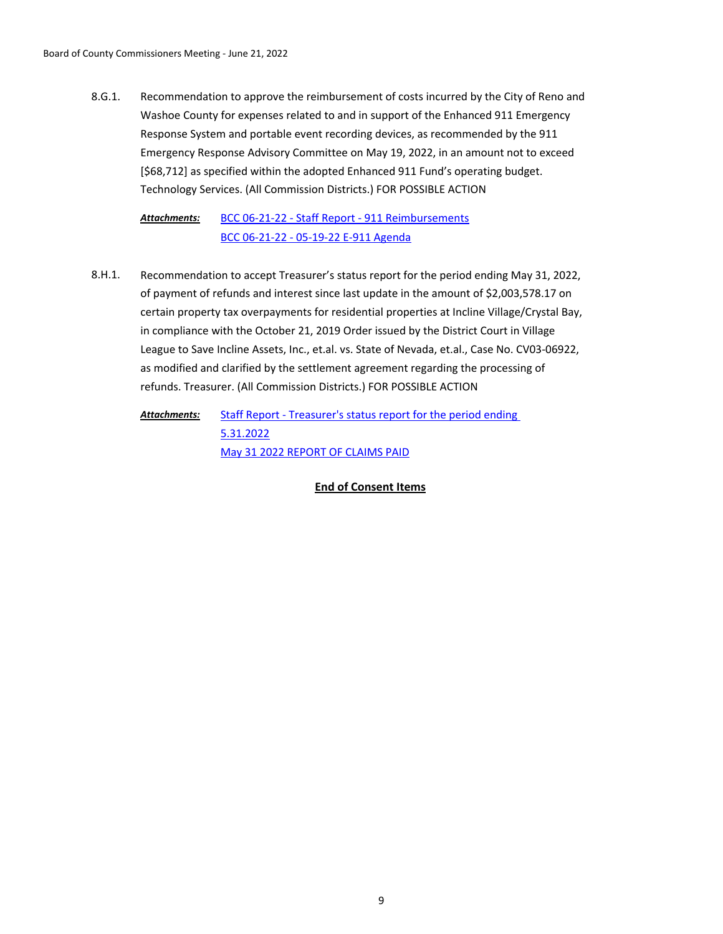Recommendation to approve the reimbursement of costs incurred by the City of Reno and Washoe County for expenses related to and in support of the Enhanced 911 Emergency Response System and portable event recording devices, as recommended by the 911 Emergency Response Advisory Committee on May 19, 2022, in an amount not to exceed [\$68,712] as specified within the adopted Enhanced 911 Fund's operating budget. Technology Services. (All Commission Districts.) FOR POSSIBLE ACTION 8.G.1.

[BCC 06-21-22 - Staff Report - 911 Reimbursements](http://washoe-nv.legistar.com/gateway.aspx?M=F&ID=d016bce9-38b9-47f0-a5ed-0a63016692a5.docx) [BCC 06-21-22 - 05-19-22 E-911 Agenda](http://washoe-nv.legistar.com/gateway.aspx?M=F&ID=3a70932e-ca51-4843-b2d0-4d40ef0adcf3.pdf) *Attachments:*

Recommendation to accept Treasurer's status report for the period ending May 31, 2022, of payment of refunds and interest since last update in the amount of \$2,003,578.17 on certain property tax overpayments for residential properties at Incline Village/Crystal Bay, in compliance with the October 21, 2019 Order issued by the District Court in Village League to Save Incline Assets, Inc., et.al. vs. State of Nevada, et.al., Case No. CV03-06922, as modified and clarified by the settlement agreement regarding the processing of refunds. Treasurer. (All Commission Districts.) FOR POSSIBLE ACTION 8.H.1.

[Staff Report - Treasurer's status report for the period ending](http://washoe-nv.legistar.com/gateway.aspx?M=F&ID=8ed3a94d-79e6-4ff3-9d4a-33d117540665.doc)  5.31.2022 [May 31 2022 REPORT OF CLAIMS PAID](http://washoe-nv.legistar.com/gateway.aspx?M=F&ID=a7b7206c-7c81-4a87-8779-430bc054de33.pdf) *Attachments:*

**End of Consent Items**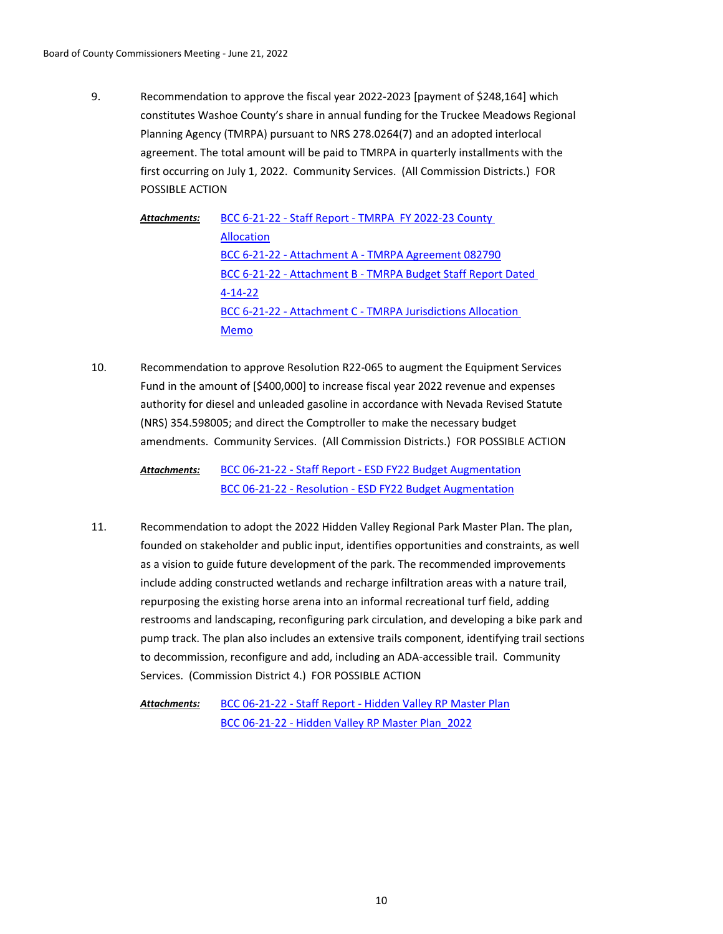Recommendation to approve the fiscal year 2022-2023 [payment of \$248,164] which constitutes Washoe County's share in annual funding for the Truckee Meadows Regional Planning Agency (TMRPA) pursuant to NRS 278.0264(7) and an adopted interlocal agreement. The total amount will be paid to TMRPA in quarterly installments with the first occurring on July 1, 2022. Community Services. (All Commission Districts.) FOR POSSIBLE ACTION 9.

[BCC 6-21-22 - Staff Report - TMRPA FY 2022-23 County](http://washoe-nv.legistar.com/gateway.aspx?M=F&ID=1ffcb01d-3116-4ea6-942e-4bff726edc24.docx)  Allocation [BCC 6-21-22 - Attachment A - TMRPA Agreement 082790](http://washoe-nv.legistar.com/gateway.aspx?M=F&ID=a3c3f96c-be36-4bb8-baaa-2d1f9eda74bd.pdf) [BCC 6-21-22 - Attachment B - TMRPA Budget Staff Report Dated](http://washoe-nv.legistar.com/gateway.aspx?M=F&ID=76f2c225-961f-4158-8b7d-7fd54c8842e4.pdf)  4-14-22 [BCC 6-21-22 - Attachment C - TMRPA Jurisdictions Allocation](http://washoe-nv.legistar.com/gateway.aspx?M=F&ID=b8946b69-2cd2-48b7-be69-14e2d52136c3.pdf)  Memo *Attachments:*

Recommendation to approve Resolution R22-065 to augment the Equipment Services Fund in the amount of [\$400,000] to increase fiscal year 2022 revenue and expenses authority for diesel and unleaded gasoline in accordance with Nevada Revised Statute (NRS) 354.598005; and direct the Comptroller to make the necessary budget amendments. Community Services. (All Commission Districts.) FOR POSSIBLE ACTION 10.

> [BCC 06-21-22 - Staff Report - ESD FY22 Budget Augmentation](http://washoe-nv.legistar.com/gateway.aspx?M=F&ID=a156d693-3445-46b5-b22f-58f5532f1d5e.doc) [BCC 06-21-22 - Resolution - ESD FY22 Budget Augmentation](http://washoe-nv.legistar.com/gateway.aspx?M=F&ID=318dd283-c28d-45b3-8299-443bcfaec1c8.docx) *Attachments:*

Recommendation to adopt the 2022 Hidden Valley Regional Park Master Plan. The plan, founded on stakeholder and public input, identifies opportunities and constraints, as well as a vision to guide future development of the park. The recommended improvements include adding constructed wetlands and recharge infiltration areas with a nature trail, repurposing the existing horse arena into an informal recreational turf field, adding restrooms and landscaping, reconfiguring park circulation, and developing a bike park and pump track. The plan also includes an extensive trails component, identifying trail sections to decommission, reconfigure and add, including an ADA-accessible trail. Community Services. (Commission District 4.) FOR POSSIBLE ACTION 11.

[BCC 06-21-22 - Staff Report - Hidden Valley RP Master Plan](http://washoe-nv.legistar.com/gateway.aspx?M=F&ID=cfaac80c-d193-4d94-b083-de58cb6f318d.doc) [BCC 06-21-22 - Hidden Valley RP Master Plan\\_2022](http://washoe-nv.legistar.com/gateway.aspx?M=F&ID=470d3b6a-c773-414f-827d-e2347d57db38.pdf) *Attachments:*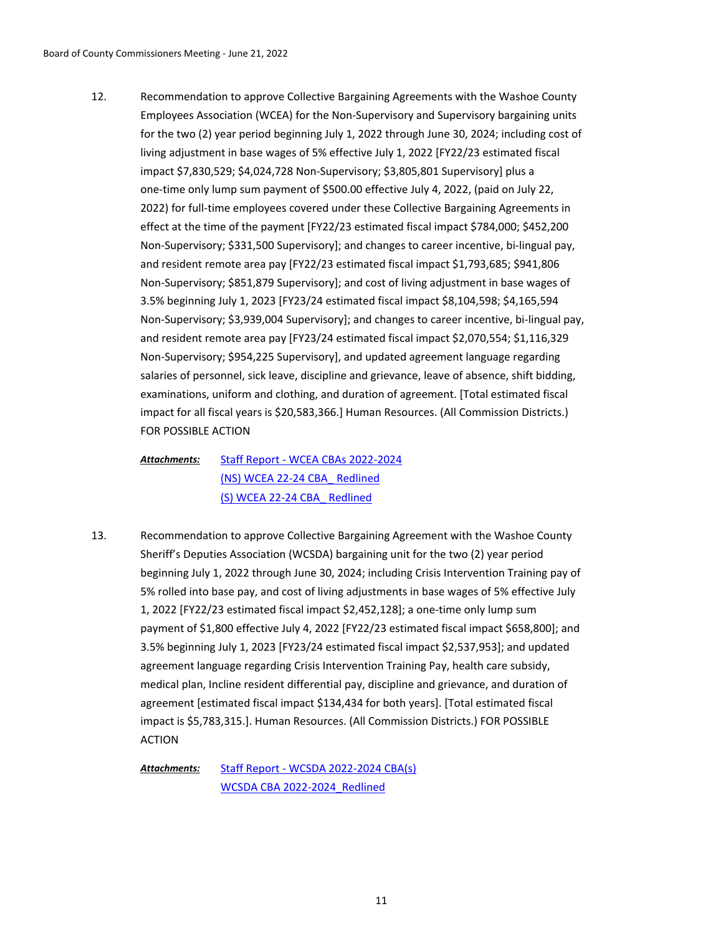Recommendation to approve Collective Bargaining Agreements with the Washoe County Employees Association (WCEA) for the Non-Supervisory and Supervisory bargaining units for the two (2) year period beginning July 1, 2022 through June 30, 2024; including cost of living adjustment in base wages of 5% effective July 1, 2022 [FY22/23 estimated fiscal impact \$7,830,529; \$4,024,728 Non-Supervisory; \$3,805,801 Supervisory] plus a one-time only lump sum payment of \$500.00 effective July 4, 2022, (paid on July 22, 2022) for full-time employees covered under these Collective Bargaining Agreements in effect at the time of the payment [FY22/23 estimated fiscal impact \$784,000; \$452,200 Non-Supervisory; \$331,500 Supervisory]; and changes to career incentive, bi-lingual pay, and resident remote area pay [FY22/23 estimated fiscal impact \$1,793,685; \$941,806 Non-Supervisory; \$851,879 Supervisory]; and cost of living adjustment in base wages of 3.5% beginning July 1, 2023 [FY23/24 estimated fiscal impact \$8,104,598; \$4,165,594 Non-Supervisory; \$3,939,004 Supervisory]; and changes to career incentive, bi-lingual pay, and resident remote area pay [FY23/24 estimated fiscal impact \$2,070,554; \$1,116,329 Non-Supervisory; \$954,225 Supervisory], and updated agreement language regarding salaries of personnel, sick leave, discipline and grievance, leave of absence, shift bidding, examinations, uniform and clothing, and duration of agreement. [Total estimated fiscal impact for all fiscal years is \$20,583,366.] Human Resources. (All Commission Districts.) FOR POSSIBLE ACTION 12.

# [Staff Report - WCEA CBAs 2022-2024](http://washoe-nv.legistar.com/gateway.aspx?M=F&ID=48d79f57-2f60-41fe-b992-f68255846fe1.docx) [\(NS\) WCEA 22-24 CBA\\_ Redlined](http://washoe-nv.legistar.com/gateway.aspx?M=F&ID=9523cf3e-6265-4134-a97d-64e4ccba728f.pdf) [\(S\) WCEA 22-24 CBA\\_ Redlined](http://washoe-nv.legistar.com/gateway.aspx?M=F&ID=4deac796-3569-4ed5-a802-5afbbcb3338c.pdf) *Attachments:*

Recommendation to approve Collective Bargaining Agreement with the Washoe County Sheriff's Deputies Association (WCSDA) bargaining unit for the two (2) year period beginning July 1, 2022 through June 30, 2024; including Crisis Intervention Training pay of 5% rolled into base pay, and cost of living adjustments in base wages of 5% effective July 1, 2022 [FY22/23 estimated fiscal impact \$2,452,128]; a one-time only lump sum payment of \$1,800 effective July 4, 2022 [FY22/23 estimated fiscal impact \$658,800]; and 3.5% beginning July 1, 2023 [FY23/24 estimated fiscal impact \$2,537,953]; and updated agreement language regarding Crisis Intervention Training Pay, health care subsidy, medical plan, Incline resident differential pay, discipline and grievance, and duration of agreement [estimated fiscal impact \$134,434 for both years]. [Total estimated fiscal impact is \$5,783,315.]. Human Resources. (All Commission Districts.) FOR POSSIBLE ACTION 13.

[Staff Report - WCSDA 2022-2024 CBA\(s\)](http://washoe-nv.legistar.com/gateway.aspx?M=F&ID=8dbc082c-e651-43fb-9358-e2098f87d593.docx) [WCSDA CBA 2022-2024\\_Redlined](http://washoe-nv.legistar.com/gateway.aspx?M=F&ID=08f7e30b-fe84-4a0d-90c5-6bc0afa3d0fd.pdf) *Attachments:*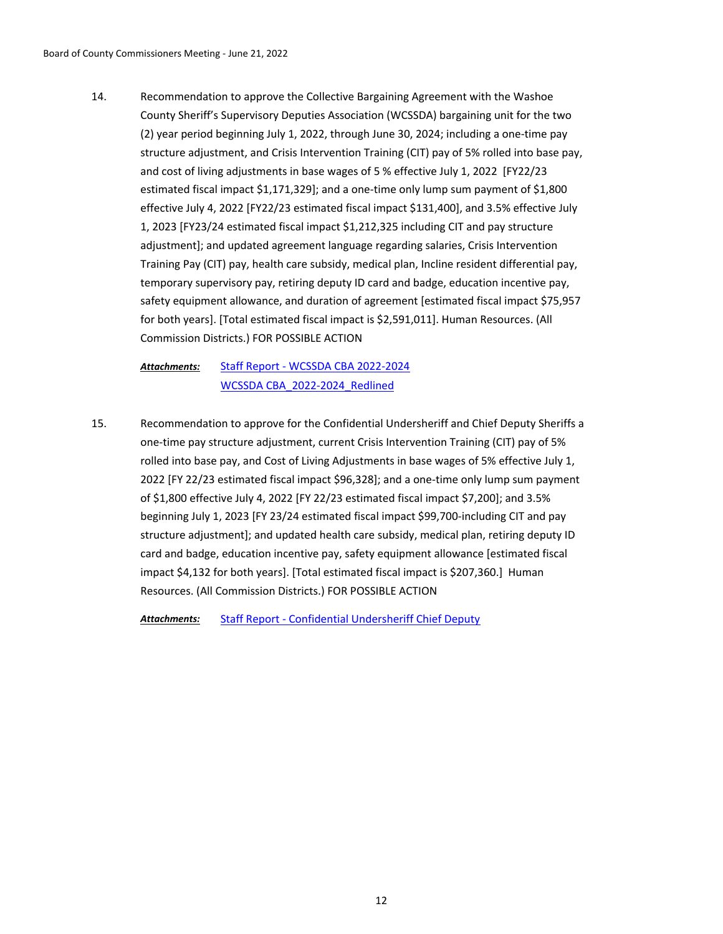Recommendation to approve the Collective Bargaining Agreement with the Washoe County Sheriff's Supervisory Deputies Association (WCSSDA) bargaining unit for the two (2) year period beginning July 1, 2022, through June 30, 2024; including a one-time pay structure adjustment, and Crisis Intervention Training (CIT) pay of 5% rolled into base pay, and cost of living adjustments in base wages of 5 % effective July 1, 2022 [FY22/23 estimated fiscal impact \$1,171,329]; and a one-time only lump sum payment of \$1,800 effective July 4, 2022 [FY22/23 estimated fiscal impact \$131,400], and 3.5% effective July 1, 2023 [FY23/24 estimated fiscal impact \$1,212,325 including CIT and pay structure adjustment]; and updated agreement language regarding salaries, Crisis Intervention Training Pay (CIT) pay, health care subsidy, medical plan, Incline resident differential pay, temporary supervisory pay, retiring deputy ID card and badge, education incentive pay, safety equipment allowance, and duration of agreement [estimated fiscal impact \$75,957 for both years]. [Total estimated fiscal impact is \$2,591,011]. Human Resources. (All Commission Districts.) FOR POSSIBLE ACTION 14.

[Staff Report - WCSSDA CBA 2022-2024](http://washoe-nv.legistar.com/gateway.aspx?M=F&ID=54494e8b-5195-480d-8f4d-119ecbf8d11c.doc) [WCSSDA CBA\\_2022-2024\\_Redlined](http://washoe-nv.legistar.com/gateway.aspx?M=F&ID=2d39f0c5-8064-4d13-80f8-6a866ff40c46.pdf) *Attachments:*

Recommendation to approve for the Confidential Undersheriff and Chief Deputy Sheriffs a one-time pay structure adjustment, current Crisis Intervention Training (CIT) pay of 5% rolled into base pay, and Cost of Living Adjustments in base wages of 5% effective July 1, 2022 [FY 22/23 estimated fiscal impact \$96,328]; and a one-time only lump sum payment of \$1,800 effective July 4, 2022 [FY 22/23 estimated fiscal impact \$7,200]; and 3.5% beginning July 1, 2023 [FY 23/24 estimated fiscal impact \$99,700-including CIT and pay structure adjustment]; and updated health care subsidy, medical plan, retiring deputy ID card and badge, education incentive pay, safety equipment allowance [estimated fiscal impact \$4,132 for both years]. [Total estimated fiscal impact is \$207,360.] Human Resources. (All Commission Districts.) FOR POSSIBLE ACTION 15.

*Attachments:* [Staff Report - Confidential Undersheriff Chief Deputy](http://washoe-nv.legistar.com/gateway.aspx?M=F&ID=020eeadf-3587-4b76-a990-96503dfa7a67.doc)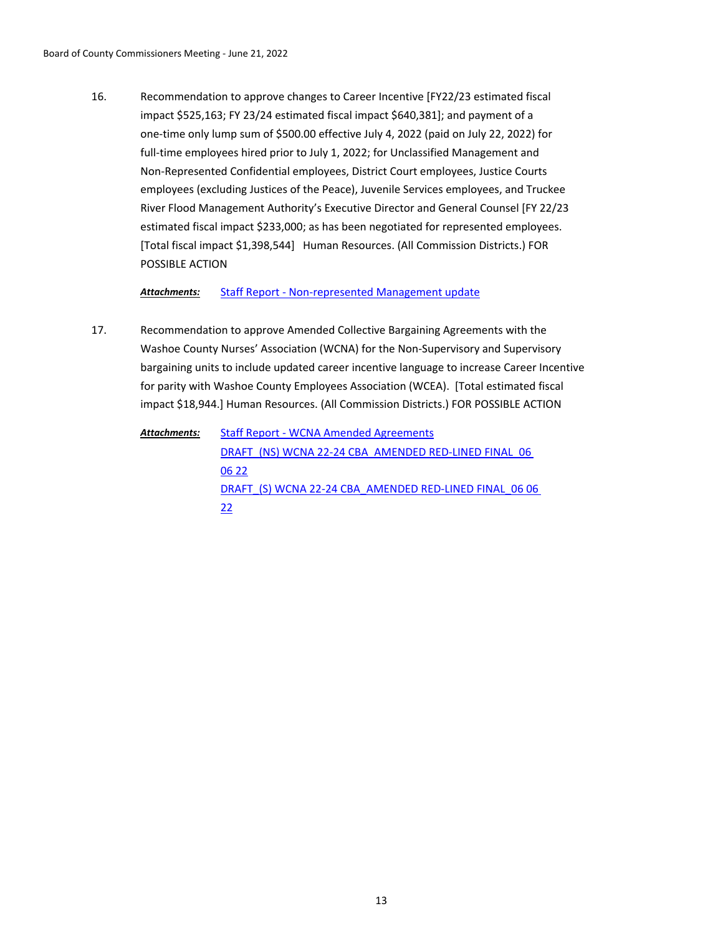Recommendation to approve changes to Career Incentive [FY22/23 estimated fiscal impact \$525,163; FY 23/24 estimated fiscal impact \$640,381]; and payment of a one-time only lump sum of \$500.00 effective July 4, 2022 (paid on July 22, 2022) for full-time employees hired prior to July 1, 2022; for Unclassified Management and Non-Represented Confidential employees, District Court employees, Justice Courts employees (excluding Justices of the Peace), Juvenile Services employees, and Truckee River Flood Management Authority's Executive Director and General Counsel [FY 22/23 estimated fiscal impact \$233,000; as has been negotiated for represented employees. [Total fiscal impact \$1,398,544] Human Resources. (All Commission Districts.) FOR POSSIBLE ACTION 16.

*Attachments:* [Staff Report - Non-represented Management update](http://washoe-nv.legistar.com/gateway.aspx?M=F&ID=4b5a4c25-0e92-48f9-aa73-2101b77cb779.doc)

- Recommendation to approve Amended Collective Bargaining Agreements with the Washoe County Nurses' Association (WCNA) for the Non-Supervisory and Supervisory bargaining units to include updated career incentive language to increase Career Incentive for parity with Washoe County Employees Association (WCEA). [Total estimated fiscal impact \$18,944.] Human Resources. (All Commission Districts.) FOR POSSIBLE ACTION 17.
	- [Staff Report WCNA Amended Agreements](http://washoe-nv.legistar.com/gateway.aspx?M=F&ID=d331d2cc-ca2b-4545-ab60-b1272882f77f.doc) DRAFT\_(NS) WCNA 22-24 CBA\_AMENDED RED-LINED FINAL\_06 06 22 DRAFT (S) WCNA 22-24 CBA\_AMENDED RED-LINED FINAL\_06 06 22 *Attachments:*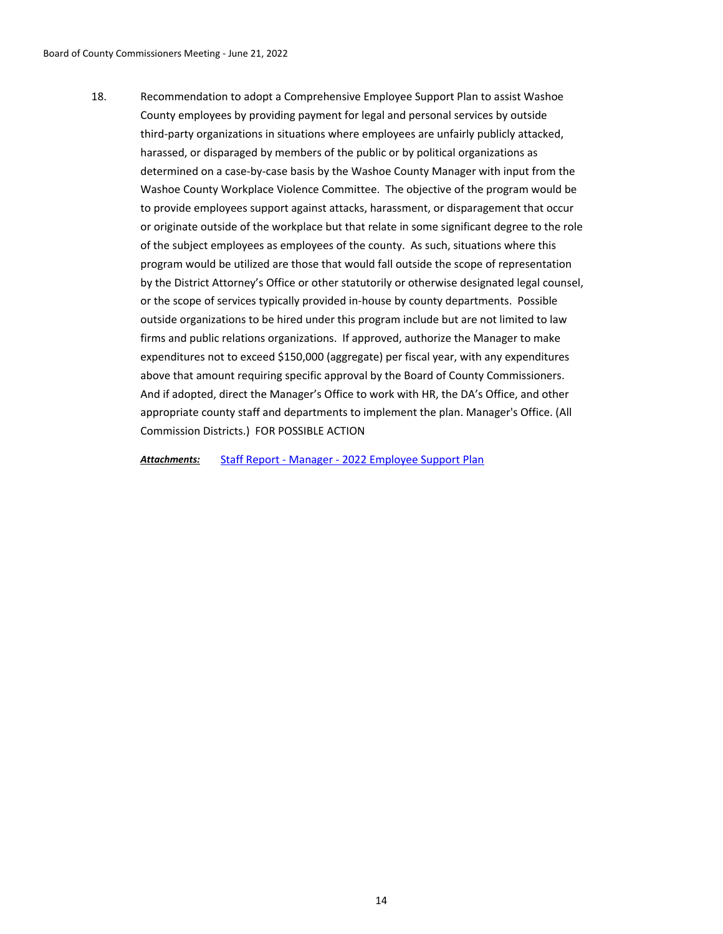Recommendation to adopt a Comprehensive Employee Support Plan to assist Washoe County employees by providing payment for legal and personal services by outside third-party organizations in situations where employees are unfairly publicly attacked, harassed, or disparaged by members of the public or by political organizations as determined on a case-by-case basis by the Washoe County Manager with input from the Washoe County Workplace Violence Committee. The objective of the program would be to provide employees support against attacks, harassment, or disparagement that occur or originate outside of the workplace but that relate in some significant degree to the role of the subject employees as employees of the county. As such, situations where this program would be utilized are those that would fall outside the scope of representation by the District Attorney's Office or other statutorily or otherwise designated legal counsel, or the scope of services typically provided in-house by county departments. Possible outside organizations to be hired under this program include but are not limited to law firms and public relations organizations. If approved, authorize the Manager to make expenditures not to exceed \$150,000 (aggregate) per fiscal year, with any expenditures above that amount requiring specific approval by the Board of County Commissioners. And if adopted, direct the Manager's Office to work with HR, the DA's Office, and other appropriate county staff and departments to implement the plan. Manager's Office. (All Commission Districts.) FOR POSSIBLE ACTION 18.

*Attachments:* [Staff Report - Manager - 2022 Employee Support Plan](http://washoe-nv.legistar.com/gateway.aspx?M=F&ID=d773c857-f9dc-4001-bae2-372de65e78c8.doc)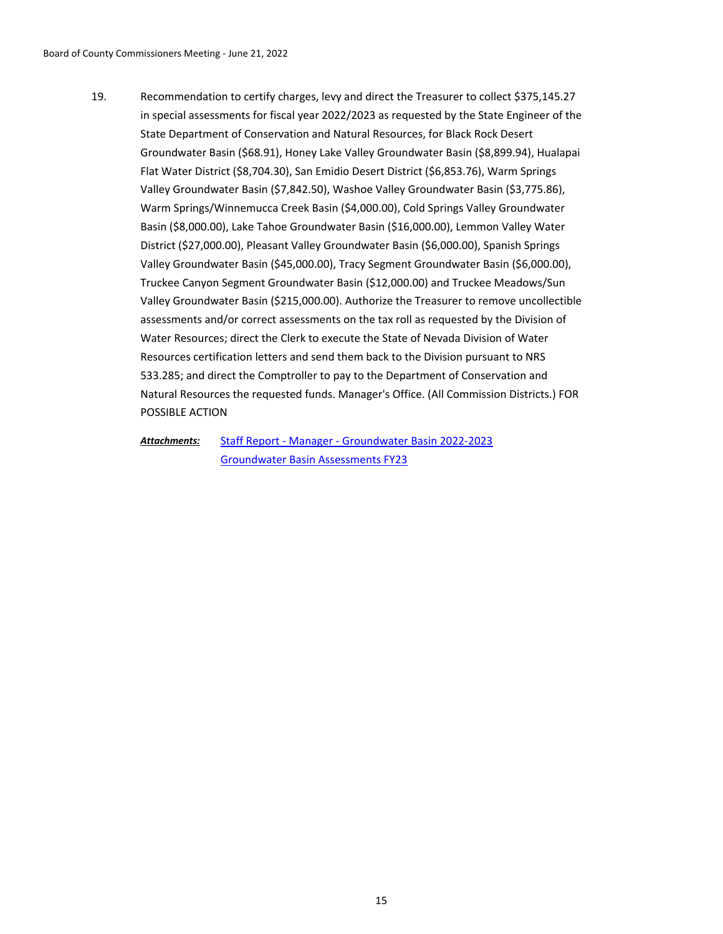Recommendation to certify charges, levy and direct the Treasurer to collect \$375,145.27 in special assessments for fiscal year 2022/2023 as requested by the State Engineer of the State Department of Conservation and Natural Resources, for Black Rock Desert Groundwater Basin (\$68.91), Honey Lake Valley Groundwater Basin (\$8,899.94), Hualapai Flat Water District (\$8,704.30), San Emidio Desert District (\$6,853.76), Warm Springs Valley Groundwater Basin (\$7,842.50), Washoe Valley Groundwater Basin (\$3,775.86), Warm Springs/Winnemucca Creek Basin (\$4,000.00), Cold Springs Valley Groundwater Basin (\$8,000.00), Lake Tahoe Groundwater Basin (\$16,000.00), Lemmon Valley Water District (\$27,000.00), Pleasant Valley Groundwater Basin (\$6,000.00), Spanish Springs Valley Groundwater Basin (\$45,000.00), Tracy Segment Groundwater Basin (\$6,000.00), Truckee Canyon Segment Groundwater Basin (\$12,000.00) and Truckee Meadows/Sun Valley Groundwater Basin (\$215,000.00). Authorize the Treasurer to remove uncollectible assessments and/or correct assessments on the tax roll as requested by the Division of Water Resources; direct the Clerk to execute the State of Nevada Division of Water Resources certification letters and send them back to the Division pursuant to NRS 533.285; and direct the Comptroller to pay to the Department of Conservation and Natural Resources the requested funds. Manager's Office. (All Commission Districts.) FOR POSSIBLE ACTION 19.

[Staff Report - Manager - Groundwater Basin 2022-2023](http://washoe-nv.legistar.com/gateway.aspx?M=F&ID=571fbd07-f287-4243-80bd-56799fce20f2.doc) [Groundwater Basin Assessments FY23](http://washoe-nv.legistar.com/gateway.aspx?M=F&ID=9035fe6a-a926-4107-8f5f-fec212d86768.pdf) *Attachments:*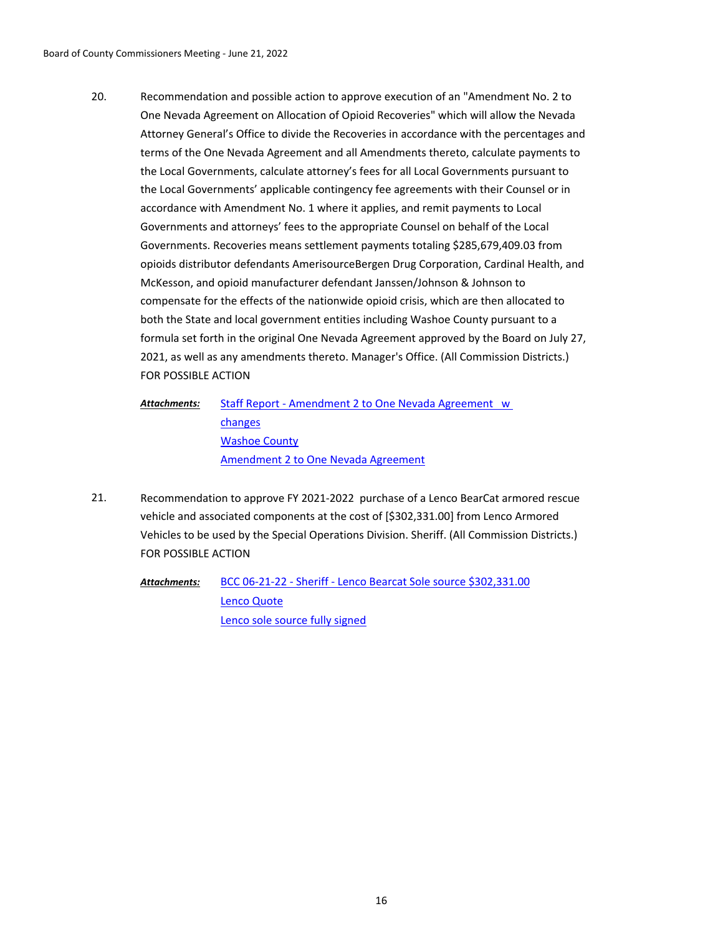Recommendation and possible action to approve execution of an "Amendment No. 2 to One Nevada Agreement on Allocation of Opioid Recoveries" which will allow the Nevada Attorney General's Office to divide the Recoveries in accordance with the percentages and terms of the One Nevada Agreement and all Amendments thereto, calculate payments to the Local Governments, calculate attorney's fees for all Local Governments pursuant to the Local Governments' applicable contingency fee agreements with their Counsel or in accordance with Amendment No. 1 where it applies, and remit payments to Local Governments and attorneys' fees to the appropriate Counsel on behalf of the Local Governments. Recoveries means settlement payments totaling \$285,679,409.03 from opioids distributor defendants AmerisourceBergen Drug Corporation, Cardinal Health, and McKesson, and opioid manufacturer defendant Janssen/Johnson & Johnson to compensate for the effects of the nationwide opioid crisis, which are then allocated to both the State and local government entities including Washoe County pursuant to a formula set forth in the original One Nevada Agreement approved by the Board on July 27, 2021, as well as any amendments thereto. Manager's Office. (All Commission Districts.) FOR POSSIBLE ACTION 20.

[Staff Report - Amendment 2 to One Nevada Agreement w](http://washoe-nv.legistar.com/gateway.aspx?M=F&ID=dfbbda54-58dc-4c50-bbb4-3d0546c8083a.doc)  changes [Washoe County](http://washoe-nv.legistar.com/gateway.aspx?M=F&ID=1e802a5b-e62e-4d71-9f06-ecce02c78186.pdf) [Amendment 2 to One Nevada Agreement](http://washoe-nv.legistar.com/gateway.aspx?M=F&ID=8bdfbaab-5c51-407f-a5c3-13c56c9dc99a.pdf) *Attachments:*

Recommendation to approve FY 2021-2022 purchase of a Lenco BearCat armored rescue vehicle and associated components at the cost of [\$302,331.00] from Lenco Armored Vehicles to be used by the Special Operations Division. Sheriff. (All Commission Districts.) FOR POSSIBLE ACTION 21.

[BCC 06-21-22 - Sheriff - Lenco Bearcat Sole source \\$302,331.00](http://washoe-nv.legistar.com/gateway.aspx?M=F&ID=0eebc955-7074-4a02-9527-e35f7d14dae6.docx) [Lenco Quote](http://washoe-nv.legistar.com/gateway.aspx?M=F&ID=e51db00a-7da2-4fc4-861e-354296fd8bbf.pdf) [Lenco sole source fully signed](http://washoe-nv.legistar.com/gateway.aspx?M=F&ID=19f5d85c-f446-438a-a84c-ef3bed52b8ac.pdf) *Attachments:*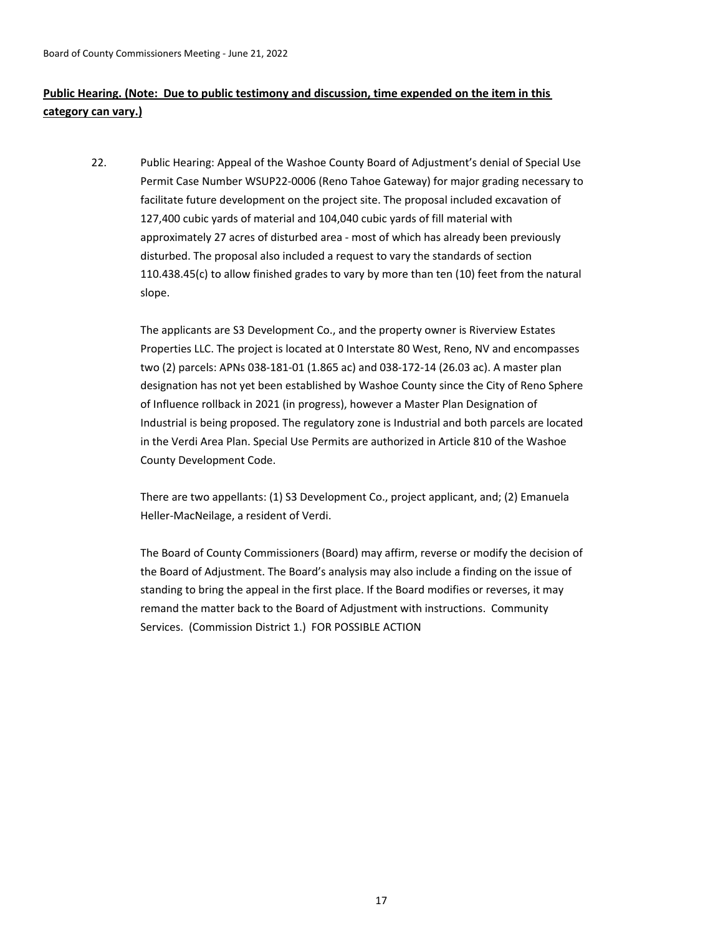# **Public Hearing. (Note: Due to public testimony and discussion, time expended on the item in this category can vary.)**

Public Hearing: Appeal of the Washoe County Board of Adjustment's denial of Special Use Permit Case Number WSUP22-0006 (Reno Tahoe Gateway) for major grading necessary to facilitate future development on the project site. The proposal included excavation of 127,400 cubic yards of material and 104,040 cubic yards of fill material with approximately 27 acres of disturbed area - most of which has already been previously disturbed. The proposal also included a request to vary the standards of section 110.438.45(c) to allow finished grades to vary by more than ten (10) feet from the natural slope. 22.

The applicants are S3 Development Co., and the property owner is Riverview Estates Properties LLC. The project is located at 0 Interstate 80 West, Reno, NV and encompasses two (2) parcels: APNs 038-181-01 (1.865 ac) and 038-172-14 (26.03 ac). A master plan designation has not yet been established by Washoe County since the City of Reno Sphere of Influence rollback in 2021 (in progress), however a Master Plan Designation of Industrial is being proposed. The regulatory zone is Industrial and both parcels are located in the Verdi Area Plan. Special Use Permits are authorized in Article 810 of the Washoe County Development Code.

There are two appellants: (1) S3 Development Co., project applicant, and; (2) Emanuela Heller-MacNeilage, a resident of Verdi.

The Board of County Commissioners (Board) may affirm, reverse or modify the decision of the Board of Adjustment. The Board's analysis may also include a finding on the issue of standing to bring the appeal in the first place. If the Board modifies or reverses, it may remand the matter back to the Board of Adjustment with instructions. Community Services. (Commission District 1.) FOR POSSIBLE ACTION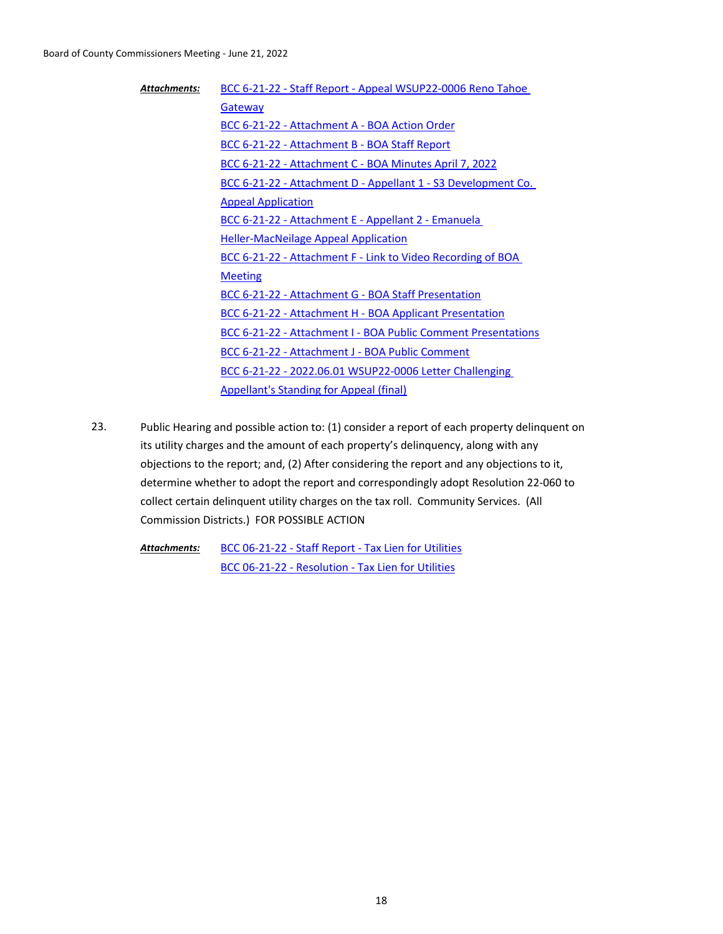| <b>Attachments:</b> | BCC 6-21-22 - Staff Report - Appeal WSUP22-0006 Reno Tahoe    |
|---------------------|---------------------------------------------------------------|
|                     | Gateway                                                       |
|                     | BCC 6-21-22 - Attachment A - BOA Action Order                 |
|                     | BCC 6-21-22 - Attachment B - BOA Staff Report                 |
|                     | BCC 6-21-22 - Attachment C - BOA Minutes April 7, 2022        |
|                     | BCC 6-21-22 - Attachment D - Appellant 1 - S3 Development Co. |
|                     | <b>Appeal Application</b>                                     |
|                     | BCC 6-21-22 - Attachment E - Appellant 2 - Emanuela           |
|                     | <b>Heller-MacNeilage Appeal Application</b>                   |
|                     | BCC 6-21-22 - Attachment F - Link to Video Recording of BOA   |
|                     | <b>Meeting</b>                                                |
|                     | <b>BCC 6-21-22 - Attachment G - BOA Staff Presentation</b>    |
|                     | BCC 6-21-22 - Attachment H - BOA Applicant Presentation       |
|                     | BCC 6-21-22 - Attachment I - BOA Public Comment Presentations |
|                     | <b>BCC 6-21-22 - Attachment J - BOA Public Comment</b>        |
|                     | BCC 6-21-22 - 2022.06.01 WSUP22-0006 Letter Challenging       |
|                     | <b>Appellant's Standing for Appeal (final)</b>                |
|                     |                                                               |

Public Hearing and possible action to: (1) consider a report of each property delinquent on its utility charges and the amount of each property's delinquency, along with any objections to the report; and, (2) After considering the report and any objections to it, determine whether to adopt the report and correspondingly adopt Resolution 22-060 to collect certain delinquent utility charges on the tax roll. Community Services. (All Commission Districts.) FOR POSSIBLE ACTION 23.

[BCC 06-21-22 - Staff Report - Tax Lien for Utilities](http://washoe-nv.legistar.com/gateway.aspx?M=F&ID=42046761-7582-465b-9fba-cf18a14bd610.docx) [BCC 06-21-22 - Resolution - Tax Lien for Utilities](http://washoe-nv.legistar.com/gateway.aspx?M=F&ID=48c68d1c-d4c5-4c80-9893-3f6cd2ec21a3.doc) *Attachments:*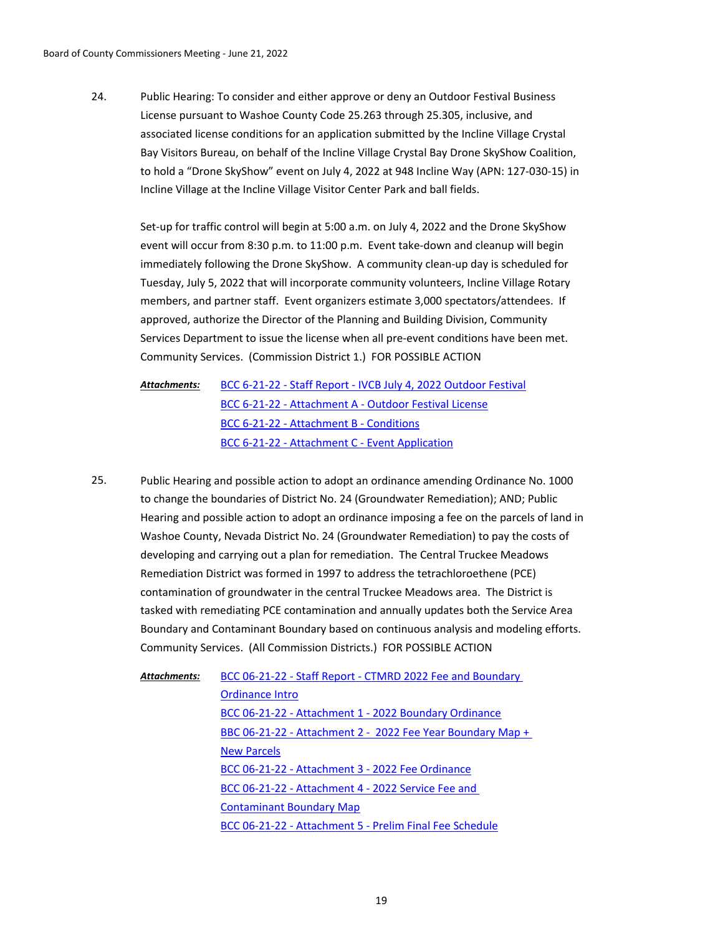Public Hearing: To consider and either approve or deny an Outdoor Festival Business License pursuant to Washoe County Code 25.263 through 25.305, inclusive, and associated license conditions for an application submitted by the Incline Village Crystal Bay Visitors Bureau, on behalf of the Incline Village Crystal Bay Drone SkyShow Coalition, to hold a "Drone SkyShow" event on July 4, 2022 at 948 Incline Way (APN: 127-030-15) in Incline Village at the Incline Village Visitor Center Park and ball fields. 24.

Set-up for traffic control will begin at 5:00 a.m. on July 4, 2022 and the Drone SkyShow event will occur from 8:30 p.m. to 11:00 p.m. Event take-down and cleanup will begin immediately following the Drone SkyShow. A community clean-up day is scheduled for Tuesday, July 5, 2022 that will incorporate community volunteers, Incline Village Rotary members, and partner staff. Event organizers estimate 3,000 spectators/attendees. If approved, authorize the Director of the Planning and Building Division, Community Services Department to issue the license when all pre-event conditions have been met. Community Services. (Commission District 1.) FOR POSSIBLE ACTION

- [BCC 6-21-22 Staff Report IVCB July 4, 2022 Outdoor Festival](http://washoe-nv.legistar.com/gateway.aspx?M=F&ID=fbc30afd-ff0f-42e7-952b-0ecdde16a504.doc) [BCC 6-21-22 - Attachment A - Outdoor Festival License](http://washoe-nv.legistar.com/gateway.aspx?M=F&ID=fdeb5d1b-0ed4-4b29-97d0-fe6014b9ff90.pdf) [BCC 6-21-22 - Attachment B - Conditions](http://washoe-nv.legistar.com/gateway.aspx?M=F&ID=20d9fca1-3fbd-422a-89af-e82000238c58.pdf) [BCC 6-21-22 - Attachment C - Event Application](http://washoe-nv.legistar.com/gateway.aspx?M=F&ID=b9ec604e-ac89-4ee8-8537-2cdeb1a0dcd4.pdf) *Attachments:*
- Public Hearing and possible action to adopt an ordinance amending Ordinance No. 1000 to change the boundaries of District No. 24 (Groundwater Remediation); AND; Public Hearing and possible action to adopt an ordinance imposing a fee on the parcels of land in Washoe County, Nevada District No. 24 (Groundwater Remediation) to pay the costs of developing and carrying out a plan for remediation. The Central Truckee Meadows Remediation District was formed in 1997 to address the tetrachloroethene (PCE) contamination of groundwater in the central Truckee Meadows area. The District is tasked with remediating PCE contamination and annually updates both the Service Area Boundary and Contaminant Boundary based on continuous analysis and modeling efforts. Community Services. (All Commission Districts.) FOR POSSIBLE ACTION 25.

[BCC 06-21-22 - Staff Report - CTMRD 2022 Fee and Boundary](http://washoe-nv.legistar.com/gateway.aspx?M=F&ID=2883a0d7-0003-4afb-b7ff-9eec640f3e1b.docx)  Ordinance Intro [BCC 06-21-22 - Attachment 1 - 2022 Boundary Ordinance](http://washoe-nv.legistar.com/gateway.aspx?M=F&ID=040a71b6-d7d4-4fa0-9c36-ce5270018e8f.docx) [BBC 06-21-22 - Attachment 2 - 2022 Fee Year Boundary Map +](http://washoe-nv.legistar.com/gateway.aspx?M=F&ID=2cd2fdbb-daad-4cab-920a-5080eca7bdcb.pdf)  New Parcels [BCC 06-21-22 - Attachment 3 - 2022 Fee Ordinance](http://washoe-nv.legistar.com/gateway.aspx?M=F&ID=38a31eae-481f-491c-9949-a3d550138054.docx) [BCC 06-21-22 - Attachment 4 - 2022 Service Fee and](http://washoe-nv.legistar.com/gateway.aspx?M=F&ID=b5267b44-93b5-4ad0-8436-a258138c7827.pdf)  Contaminant Boundary Map [BCC 06-21-22 - Attachment 5 - Prelim Final Fee Schedule](http://washoe-nv.legistar.com/gateway.aspx?M=F&ID=fa95d628-dc33-4923-88a8-eb4482934914.pdf) *Attachments:*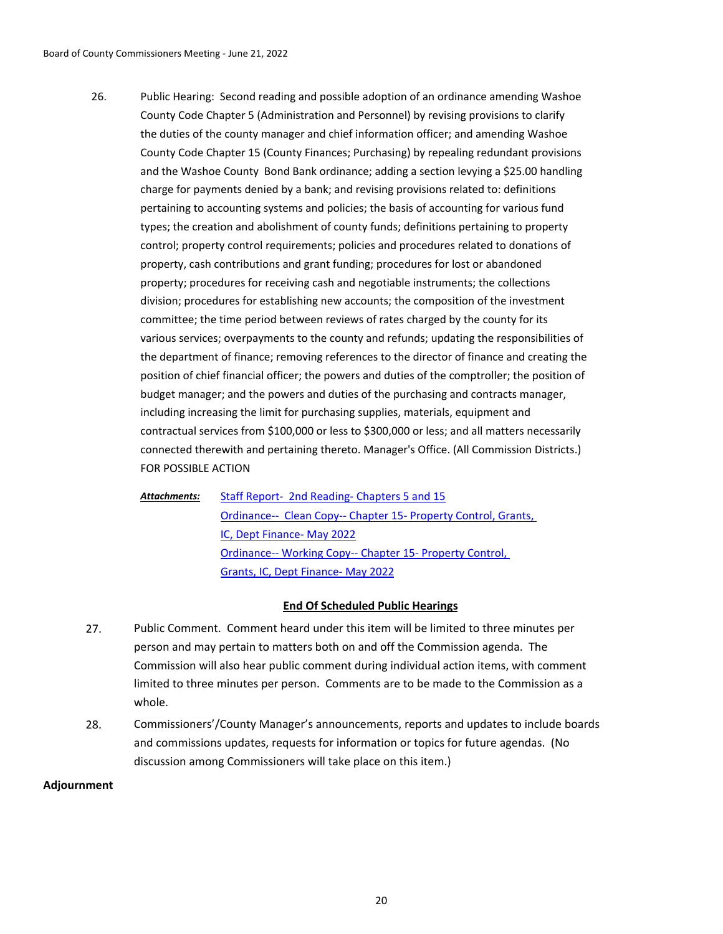Public Hearing: Second reading and possible adoption of an ordinance amending Washoe County Code Chapter 5 (Administration and Personnel) by revising provisions to clarify the duties of the county manager and chief information officer; and amending Washoe County Code Chapter 15 (County Finances; Purchasing) by repealing redundant provisions and the Washoe County Bond Bank ordinance; adding a section levying a \$25.00 handling charge for payments denied by a bank; and revising provisions related to: definitions pertaining to accounting systems and policies; the basis of accounting for various fund types; the creation and abolishment of county funds; definitions pertaining to property control; property control requirements; policies and procedures related to donations of property, cash contributions and grant funding; procedures for lost or abandoned property; procedures for receiving cash and negotiable instruments; the collections division; procedures for establishing new accounts; the composition of the investment committee; the time period between reviews of rates charged by the county for its various services; overpayments to the county and refunds; updating the responsibilities of the department of finance; removing references to the director of finance and creating the position of chief financial officer; the powers and duties of the comptroller; the position of budget manager; and the powers and duties of the purchasing and contracts manager, including increasing the limit for purchasing supplies, materials, equipment and contractual services from \$100,000 or less to \$300,000 or less; and all matters necessarily connected therewith and pertaining thereto. Manager's Office. (All Commission Districts.) FOR POSSIBLE ACTION 26.

[Staff Report- 2nd Reading- Chapters 5 and 15](http://washoe-nv.legistar.com/gateway.aspx?M=F&ID=87fd0a41-5f70-4640-b132-1d68f1f8c05f.doc) [Ordinance-- Clean Copy-- Chapter 15- Property Control, Grants,](http://washoe-nv.legistar.com/gateway.aspx?M=F&ID=1c498bbc-09ed-42ea-9208-5455a4a09ab1.docx)  IC, Dept Finance- May 2022 [Ordinance-- Working Copy-- Chapter 15- Property Control,](http://washoe-nv.legistar.com/gateway.aspx?M=F&ID=8918edf2-eec7-4026-8319-fa75def1fcf8.docx)  Grants, IC, Dept Finance- May 2022 *Attachments:*

# **End Of Scheduled Public Hearings**

- 27. Public Comment. Comment heard under this item will be limited to three minutes per person and may pertain to matters both on and off the Commission agenda. The Commission will also hear public comment during individual action items, with comment limited to three minutes per person. Comments are to be made to the Commission as a whole.
- 28. Commissioners'/County Manager's announcements, reports and updates to include boards and commissions updates, requests for information or topics for future agendas. (No discussion among Commissioners will take place on this item.)

# **Adjournment**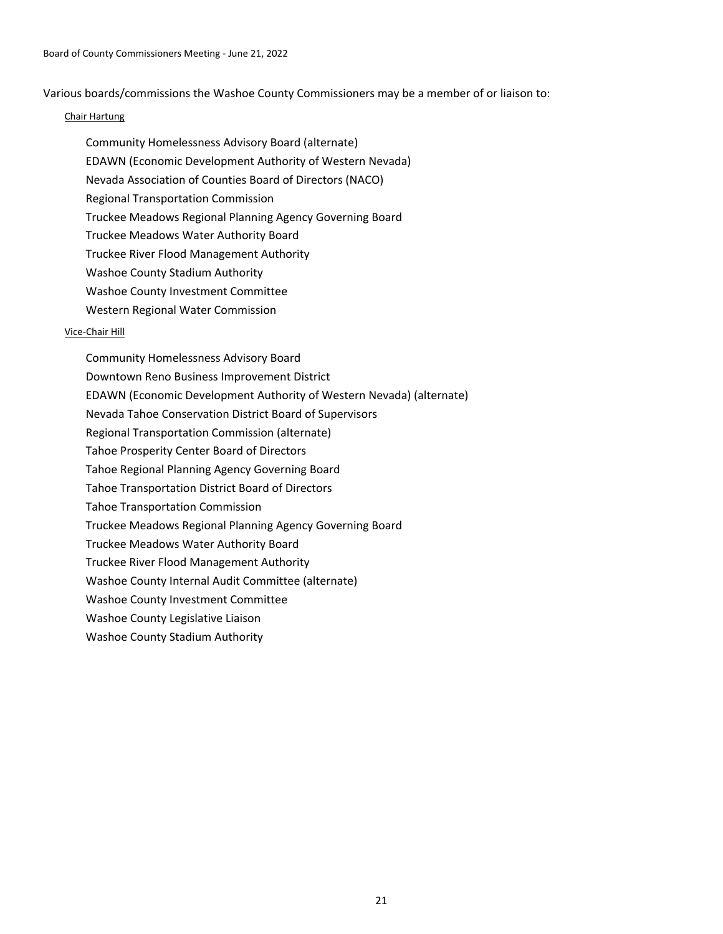Various boards/commissions the Washoe County Commissioners may be a member of or liaison to:

# Chair Hartung

- Community Homelessness Advisory Board (alternate)
- EDAWN (Economic Development Authority of Western Nevada)
- Nevada Association of Counties Board of Directors (NACO)
- Regional Transportation Commission
- Truckee Meadows Regional Planning Agency Governing Board
- Truckee Meadows Water Authority Board
- Truckee River Flood Management Authority
- Washoe County Stadium Authority
- Washoe County Investment Committee
- Western Regional Water Commission

# Vice-Chair Hill

Community Homelessness Advisory Board Downtown Reno Business Improvement District EDAWN (Economic Development Authority of Western Nevada) (alternate) Nevada Tahoe Conservation District Board of Supervisors Regional Transportation Commission (alternate) Tahoe Prosperity Center Board of Directors Tahoe Regional Planning Agency Governing Board Tahoe Transportation District Board of Directors Tahoe Transportation Commission Truckee Meadows Regional Planning Agency Governing Board Truckee Meadows Water Authority Board Truckee River Flood Management Authority Washoe County Internal Audit Committee (alternate) Washoe County Investment Committee Washoe County Legislative Liaison Washoe County Stadium Authority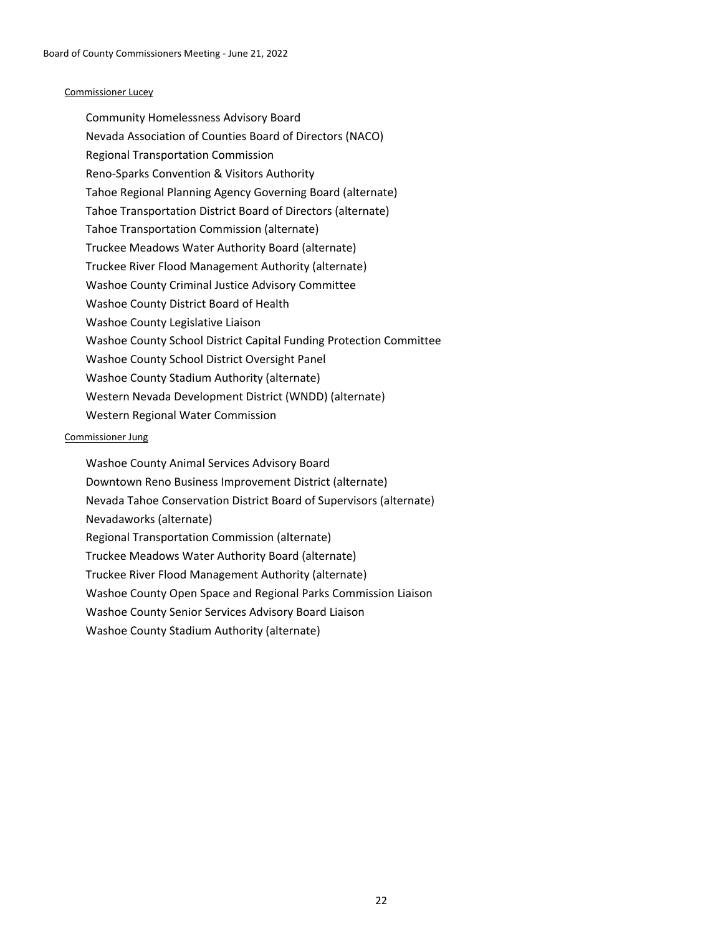#### Commissioner Lucey

Community Homelessness Advisory Board Nevada Association of Counties Board of Directors (NACO) Regional Transportation Commission Reno-Sparks Convention & Visitors Authority Tahoe Regional Planning Agency Governing Board (alternate) Tahoe Transportation District Board of Directors (alternate) Tahoe Transportation Commission (alternate) Truckee Meadows Water Authority Board (alternate) Truckee River Flood Management Authority (alternate) Washoe County Criminal Justice Advisory Committee Washoe County District Board of Health Washoe County Legislative Liaison Washoe County School District Capital Funding Protection Committee Washoe County School District Oversight Panel Washoe County Stadium Authority (alternate) Western Nevada Development District (WNDD) (alternate) Western Regional Water Commission

#### Commissioner Jung

Washoe County Animal Services Advisory Board Downtown Reno Business Improvement District (alternate) Nevada Tahoe Conservation District Board of Supervisors (alternate) Nevadaworks (alternate) Regional Transportation Commission (alternate) Truckee Meadows Water Authority Board (alternate) Truckee River Flood Management Authority (alternate) Washoe County Open Space and Regional Parks Commission Liaison Washoe County Senior Services Advisory Board Liaison Washoe County Stadium Authority (alternate)